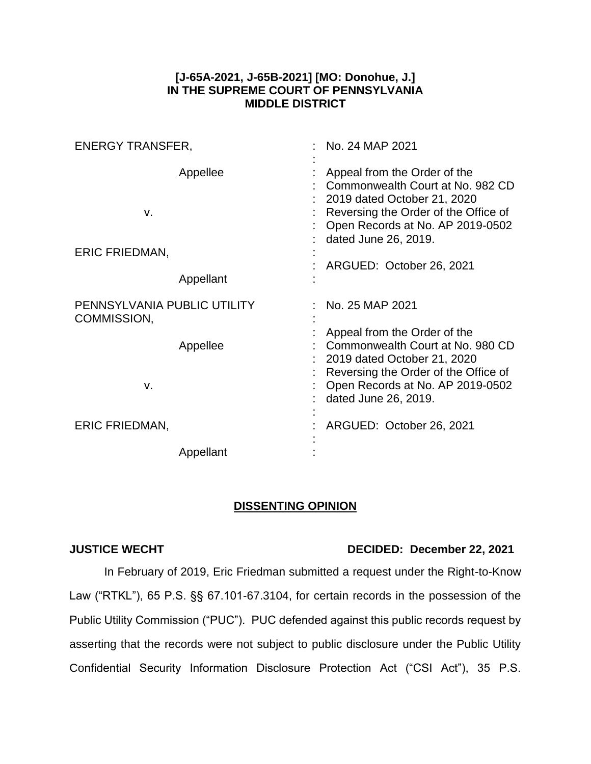## **[J-65A-2021, J-65B-2021] [MO: Donohue, J.] IN THE SUPREME COURT OF PENNSYLVANIA MIDDLE DISTRICT**

| <b>ENERGY TRANSFER,</b>                    |                       | No. 24 MAP 2021                                                                                                                                                                                                                 |
|--------------------------------------------|-----------------------|---------------------------------------------------------------------------------------------------------------------------------------------------------------------------------------------------------------------------------|
| v.<br><b>ERIC FRIEDMAN,</b>                | Appellee<br>Appellant | Appeal from the Order of the<br>Commonwealth Court at No. 982 CD<br>2019 dated October 21, 2020<br>Reversing the Order of the Office of<br>Open Records at No. AP 2019-0502<br>dated June 26, 2019.<br>ARGUED: October 26, 2021 |
| PENNSYLVANIA PUBLIC UTILITY<br>COMMISSION, |                       | No. 25 MAP 2021                                                                                                                                                                                                                 |
| V.                                         | Appellee              | Appeal from the Order of the<br>Commonwealth Court at No. 980 CD<br>2019 dated October 21, 2020<br>Reversing the Order of the Office of<br>Open Records at No. AP 2019-0502<br>dated June 26, 2019.                             |
| <b>ERIC FRIEDMAN,</b>                      |                       | ARGUED: October 26, 2021                                                                                                                                                                                                        |
|                                            | Appellant             |                                                                                                                                                                                                                                 |

## **DISSENTING OPINION**

## **JUSTICE WECHT DECIDED: December 22, 2021**

In February of 2019, Eric Friedman submitted a request under the Right-to-Know Law ("RTKL"), 65 P.S. §§ 67.101-67.3104, for certain records in the possession of the Public Utility Commission ("PUC"). PUC defended against this public records request by asserting that the records were not subject to public disclosure under the Public Utility Confidential Security Information Disclosure Protection Act ("CSI Act"), 35 P.S.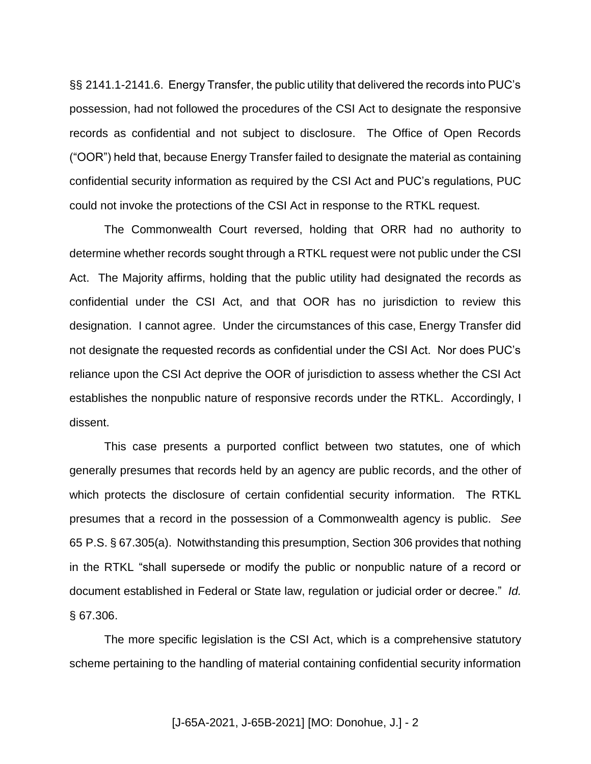§§ 2141.1-2141.6. Energy Transfer, the public utility that delivered the records into PUC's possession, had not followed the procedures of the CSI Act to designate the responsive records as confidential and not subject to disclosure. The Office of Open Records ("OOR") held that, because Energy Transfer failed to designate the material as containing confidential security information as required by the CSI Act and PUC's regulations, PUC could not invoke the protections of the CSI Act in response to the RTKL request.

The Commonwealth Court reversed, holding that ORR had no authority to determine whether records sought through a RTKL request were not public under the CSI Act. The Majority affirms, holding that the public utility had designated the records as confidential under the CSI Act, and that OOR has no jurisdiction to review this designation. I cannot agree. Under the circumstances of this case, Energy Transfer did not designate the requested records as confidential under the CSI Act. Nor does PUC's reliance upon the CSI Act deprive the OOR of jurisdiction to assess whether the CSI Act establishes the nonpublic nature of responsive records under the RTKL. Accordingly, I dissent.

This case presents a purported conflict between two statutes, one of which generally presumes that records held by an agency are public records, and the other of which protects the disclosure of certain confidential security information. The RTKL presumes that a record in the possession of a Commonwealth agency is public. *See* 65 P.S. § 67.305(a). Notwithstanding this presumption, Section 306 provides that nothing in the RTKL "shall supersede or modify the public or nonpublic nature of a record or document established in Federal or State law, regulation or judicial order or decree." *Id.* § 67.306.

The more specific legislation is the CSI Act, which is a comprehensive statutory scheme pertaining to the handling of material containing confidential security information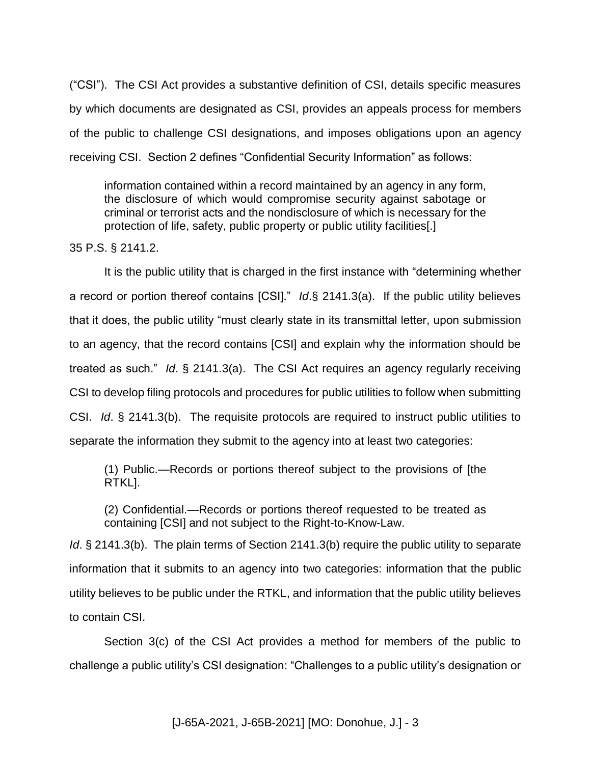("CSI"). The CSI Act provides a substantive definition of CSI, details specific measures by which documents are designated as CSI, provides an appeals process for members of the public to challenge CSI designations, and imposes obligations upon an agency receiving CSI. Section 2 defines "Confidential Security Information" as follows:

information contained within a record maintained by an agency in any form, the disclosure of which would compromise security against sabotage or criminal or terrorist acts and the nondisclosure of which is necessary for the protection of life, safety, public property or public utility facilities[.]

35 P.S. § 2141.2.

It is the public utility that is charged in the first instance with "determining whether a record or portion thereof contains [CSI]." *Id*.§ 2141.3(a). If the public utility believes that it does, the public utility "must clearly state in its transmittal letter, upon submission to an agency, that the record contains [CSI] and explain why the information should be treated as such." *Id*. § 2141.3(a). The CSI Act requires an agency regularly receiving CSI to develop filing protocols and procedures for public utilities to follow when submitting CSI. *Id*. § 2141.3(b). The requisite protocols are required to instruct public utilities to separate the information they submit to the agency into at least two categories:

(1) Public.—Records or portions thereof subject to the provisions of [the RTKL].

(2) Confidential.—Records or portions thereof requested to be treated as containing [CSI] and not subject to the Right-to-Know-Law.

*Id.* § 2141.3(b). The plain terms of Section 2141.3(b) require the public utility to separate information that it submits to an agency into two categories: information that the public utility believes to be public under the RTKL, and information that the public utility believes to contain CSI.

Section 3(c) of the CSI Act provides a method for members of the public to challenge a public utility's CSI designation: "Challenges to a public utility's designation or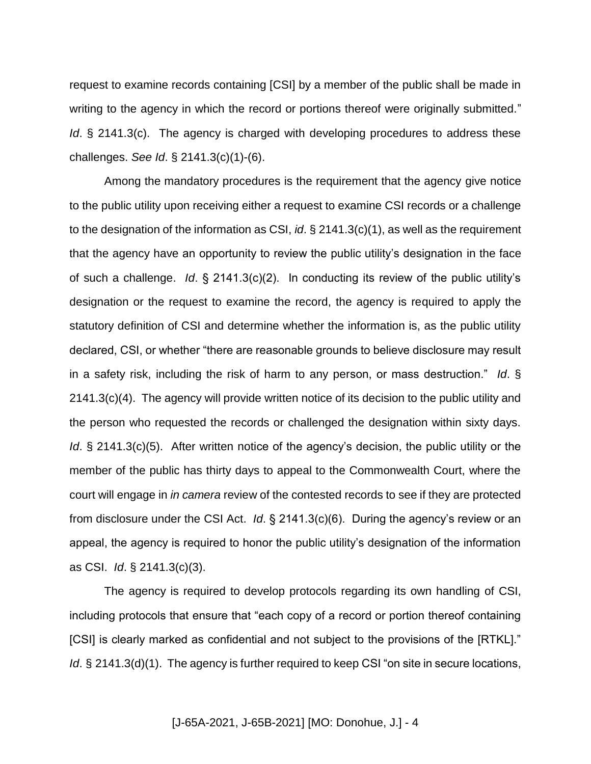request to examine records containing [CSI] by a member of the public shall be made in writing to the agency in which the record or portions thereof were originally submitted." *Id.* § 2141.3(c). The agency is charged with developing procedures to address these challenges. *See Id*. § 2141.3(c)(1)-(6).

Among the mandatory procedures is the requirement that the agency give notice to the public utility upon receiving either a request to examine CSI records or a challenge to the designation of the information as CSI, *id*. § 2141.3(c)(1), as well as the requirement that the agency have an opportunity to review the public utility's designation in the face of such a challenge. *Id*. § 2141.3(c)(2). In conducting its review of the public utility's designation or the request to examine the record, the agency is required to apply the statutory definition of CSI and determine whether the information is, as the public utility declared, CSI, or whether "there are reasonable grounds to believe disclosure may result in a safety risk, including the risk of harm to any person, or mass destruction." *Id*. § 2141.3(c)(4). The agency will provide written notice of its decision to the public utility and the person who requested the records or challenged the designation within sixty days. *Id.* § 2141.3(c)(5). After written notice of the agency's decision, the public utility or the member of the public has thirty days to appeal to the Commonwealth Court, where the court will engage in *in camera* review of the contested records to see if they are protected from disclosure under the CSI Act. *Id*. § 2141.3(c)(6). During the agency's review or an appeal, the agency is required to honor the public utility's designation of the information as CSI. *Id*. § 2141.3(c)(3).

The agency is required to develop protocols regarding its own handling of CSI, including protocols that ensure that "each copy of a record or portion thereof containing [CSI] is clearly marked as confidential and not subject to the provisions of the [RTKL]." *Id.* § 2141.3(d)(1). The agency is further required to keep CSI "on site in secure locations,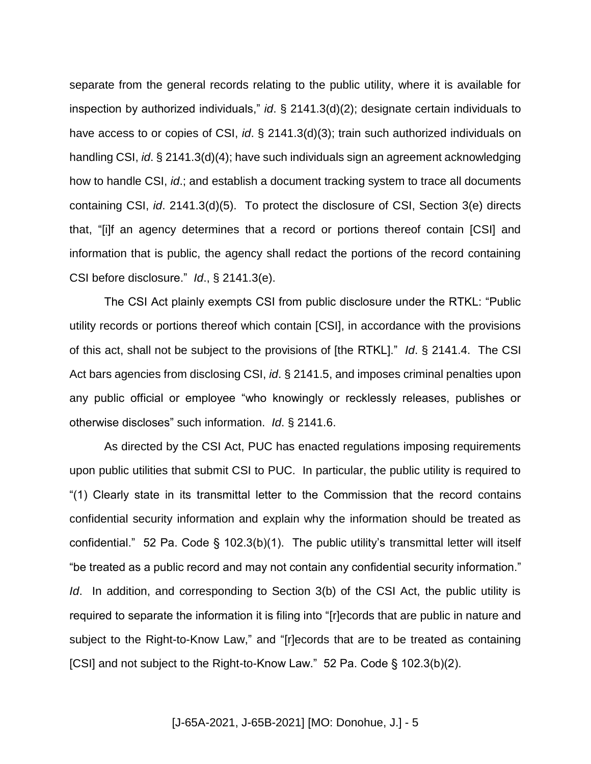separate from the general records relating to the public utility, where it is available for inspection by authorized individuals," *id*. § 2141.3(d)(2); designate certain individuals to have access to or copies of CSI, *id*. § 2141.3(d)(3); train such authorized individuals on handling CSI, *id*. § 2141.3(d)(4); have such individuals sign an agreement acknowledging how to handle CSI, *id*.; and establish a document tracking system to trace all documents containing CSI, *id*. 2141.3(d)(5). To protect the disclosure of CSI, Section 3(e) directs that, "[i]f an agency determines that a record or portions thereof contain [CSI] and information that is public, the agency shall redact the portions of the record containing CSI before disclosure." *Id*., § 2141.3(e).

The CSI Act plainly exempts CSI from public disclosure under the RTKL: "Public utility records or portions thereof which contain [CSI], in accordance with the provisions of this act, shall not be subject to the provisions of [the RTKL]." *Id*. § 2141.4. The CSI Act bars agencies from disclosing CSI, *id*. § 2141.5, and imposes criminal penalties upon any public official or employee "who knowingly or recklessly releases, publishes or otherwise discloses" such information. *Id*. § 2141.6.

As directed by the CSI Act, PUC has enacted regulations imposing requirements upon public utilities that submit CSI to PUC. In particular, the public utility is required to "(1) Clearly state in its transmittal letter to the Commission that the record contains confidential security information and explain why the information should be treated as confidential." 52 Pa. Code § 102.3(b)(1). The public utility's transmittal letter will itself "be treated as a public record and may not contain any confidential security information." *Id.* In addition, and corresponding to Section 3(b) of the CSI Act, the public utility is required to separate the information it is filing into "[r]ecords that are public in nature and subject to the Right-to-Know Law," and "[r]ecords that are to be treated as containing [CSI] and not subject to the Right-to-Know Law." 52 Pa. Code § 102.3(b)(2).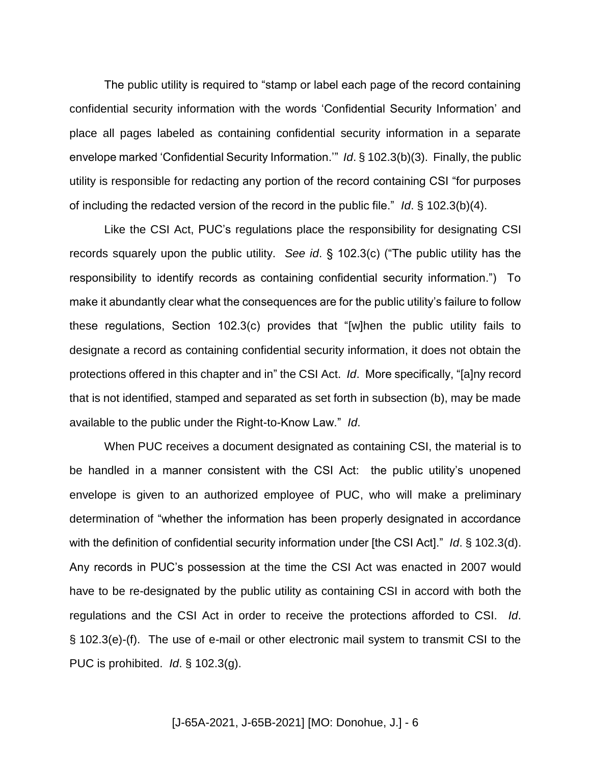The public utility is required to "stamp or label each page of the record containing confidential security information with the words 'Confidential Security Information' and place all pages labeled as containing confidential security information in a separate envelope marked 'Confidential Security Information.'" *Id*. § 102.3(b)(3). Finally, the public utility is responsible for redacting any portion of the record containing CSI "for purposes of including the redacted version of the record in the public file." *Id*. § 102.3(b)(4).

Like the CSI Act, PUC's regulations place the responsibility for designating CSI records squarely upon the public utility. *See id*. § 102.3(c) ("The public utility has the responsibility to identify records as containing confidential security information.") To make it abundantly clear what the consequences are for the public utility's failure to follow these regulations, Section 102.3(c) provides that "[w]hen the public utility fails to designate a record as containing confidential security information, it does not obtain the protections offered in this chapter and in" the CSI Act. *Id*. More specifically, "[a]ny record that is not identified, stamped and separated as set forth in subsection (b), may be made available to the public under the Right-to-Know Law." *Id*.

When PUC receives a document designated as containing CSI, the material is to be handled in a manner consistent with the CSI Act: the public utility's unopened envelope is given to an authorized employee of PUC, who will make a preliminary determination of "whether the information has been properly designated in accordance with the definition of confidential security information under [the CSI Act]." *Id*. § 102.3(d). Any records in PUC's possession at the time the CSI Act was enacted in 2007 would have to be re-designated by the public utility as containing CSI in accord with both the regulations and the CSI Act in order to receive the protections afforded to CSI. *Id*. § 102.3(e)-(f). The use of e-mail or other electronic mail system to transmit CSI to the PUC is prohibited. *Id*. § 102.3(g).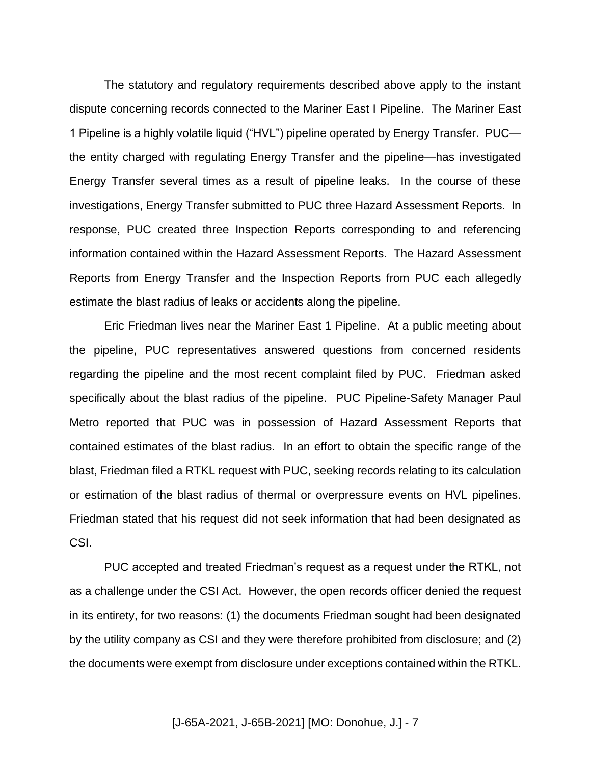The statutory and regulatory requirements described above apply to the instant dispute concerning records connected to the Mariner East I Pipeline. The Mariner East 1 Pipeline is a highly volatile liquid ("HVL") pipeline operated by Energy Transfer. PUC the entity charged with regulating Energy Transfer and the pipeline—has investigated Energy Transfer several times as a result of pipeline leaks. In the course of these investigations, Energy Transfer submitted to PUC three Hazard Assessment Reports. In response, PUC created three Inspection Reports corresponding to and referencing information contained within the Hazard Assessment Reports. The Hazard Assessment Reports from Energy Transfer and the Inspection Reports from PUC each allegedly estimate the blast radius of leaks or accidents along the pipeline.

Eric Friedman lives near the Mariner East 1 Pipeline. At a public meeting about the pipeline, PUC representatives answered questions from concerned residents regarding the pipeline and the most recent complaint filed by PUC. Friedman asked specifically about the blast radius of the pipeline. PUC Pipeline-Safety Manager Paul Metro reported that PUC was in possession of Hazard Assessment Reports that contained estimates of the blast radius. In an effort to obtain the specific range of the blast, Friedman filed a RTKL request with PUC, seeking records relating to its calculation or estimation of the blast radius of thermal or overpressure events on HVL pipelines. Friedman stated that his request did not seek information that had been designated as CSI.

PUC accepted and treated Friedman's request as a request under the RTKL, not as a challenge under the CSI Act. However, the open records officer denied the request in its entirety, for two reasons: (1) the documents Friedman sought had been designated by the utility company as CSI and they were therefore prohibited from disclosure; and (2) the documents were exempt from disclosure under exceptions contained within the RTKL.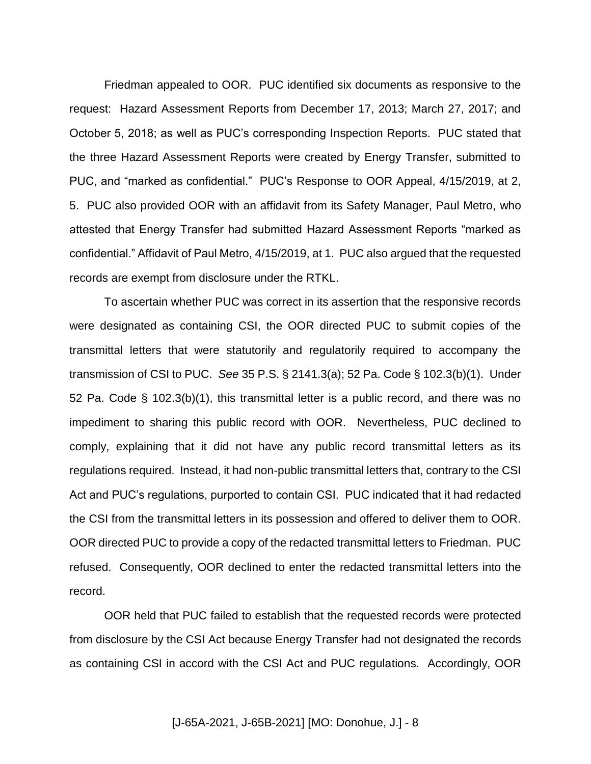Friedman appealed to OOR. PUC identified six documents as responsive to the request: Hazard Assessment Reports from December 17, 2013; March 27, 2017; and October 5, 2018; as well as PUC's corresponding Inspection Reports. PUC stated that the three Hazard Assessment Reports were created by Energy Transfer, submitted to PUC, and "marked as confidential." PUC's Response to OOR Appeal, 4/15/2019, at 2, 5. PUC also provided OOR with an affidavit from its Safety Manager, Paul Metro, who attested that Energy Transfer had submitted Hazard Assessment Reports "marked as confidential." Affidavit of Paul Metro, 4/15/2019, at 1. PUC also argued that the requested records are exempt from disclosure under the RTKL.

To ascertain whether PUC was correct in its assertion that the responsive records were designated as containing CSI, the OOR directed PUC to submit copies of the transmittal letters that were statutorily and regulatorily required to accompany the transmission of CSI to PUC. *See* 35 P.S. § 2141.3(a); 52 Pa. Code § 102.3(b)(1). Under 52 Pa. Code § 102.3(b)(1), this transmittal letter is a public record, and there was no impediment to sharing this public record with OOR. Nevertheless, PUC declined to comply, explaining that it did not have any public record transmittal letters as its regulations required. Instead, it had non-public transmittal letters that, contrary to the CSI Act and PUC's regulations, purported to contain CSI. PUC indicated that it had redacted the CSI from the transmittal letters in its possession and offered to deliver them to OOR. OOR directed PUC to provide a copy of the redacted transmittal letters to Friedman. PUC refused. Consequently, OOR declined to enter the redacted transmittal letters into the record.

OOR held that PUC failed to establish that the requested records were protected from disclosure by the CSI Act because Energy Transfer had not designated the records as containing CSI in accord with the CSI Act and PUC regulations. Accordingly, OOR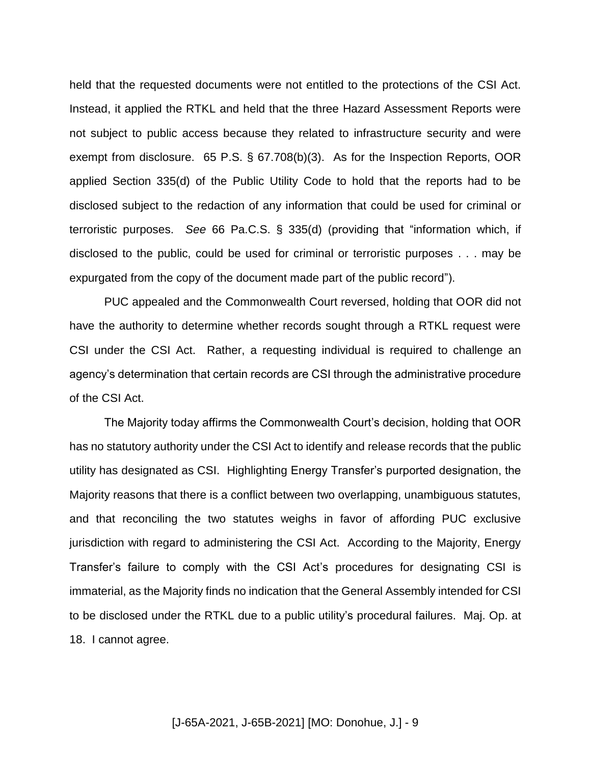held that the requested documents were not entitled to the protections of the CSI Act. Instead, it applied the RTKL and held that the three Hazard Assessment Reports were not subject to public access because they related to infrastructure security and were exempt from disclosure. 65 P.S. § 67.708(b)(3). As for the Inspection Reports, OOR applied Section 335(d) of the Public Utility Code to hold that the reports had to be disclosed subject to the redaction of any information that could be used for criminal or terroristic purposes. *See* 66 Pa.C.S. § 335(d) (providing that "information which, if disclosed to the public, could be used for criminal or terroristic purposes . . . may be expurgated from the copy of the document made part of the public record").

PUC appealed and the Commonwealth Court reversed, holding that OOR did not have the authority to determine whether records sought through a RTKL request were CSI under the CSI Act. Rather, a requesting individual is required to challenge an agency's determination that certain records are CSI through the administrative procedure of the CSI Act.

The Majority today affirms the Commonwealth Court's decision, holding that OOR has no statutory authority under the CSI Act to identify and release records that the public utility has designated as CSI. Highlighting Energy Transfer's purported designation, the Majority reasons that there is a conflict between two overlapping, unambiguous statutes, and that reconciling the two statutes weighs in favor of affording PUC exclusive jurisdiction with regard to administering the CSI Act. According to the Majority, Energy Transfer's failure to comply with the CSI Act's procedures for designating CSI is immaterial, as the Majority finds no indication that the General Assembly intended for CSI to be disclosed under the RTKL due to a public utility's procedural failures. Maj. Op. at 18. I cannot agree.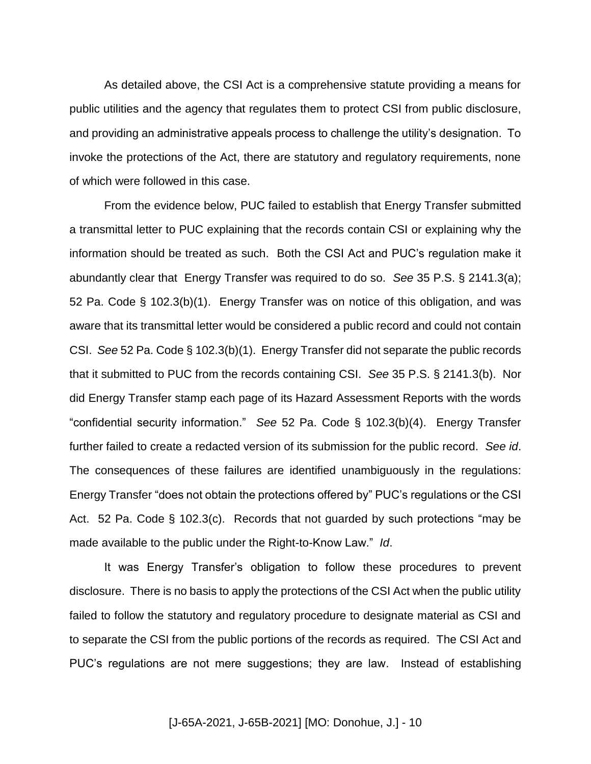As detailed above, the CSI Act is a comprehensive statute providing a means for public utilities and the agency that regulates them to protect CSI from public disclosure, and providing an administrative appeals process to challenge the utility's designation. To invoke the protections of the Act, there are statutory and regulatory requirements, none of which were followed in this case.

From the evidence below, PUC failed to establish that Energy Transfer submitted a transmittal letter to PUC explaining that the records contain CSI or explaining why the information should be treated as such. Both the CSI Act and PUC's regulation make it abundantly clear that Energy Transfer was required to do so. *See* 35 P.S. § 2141.3(a); 52 Pa. Code § 102.3(b)(1). Energy Transfer was on notice of this obligation, and was aware that its transmittal letter would be considered a public record and could not contain CSI. *See* 52 Pa. Code § 102.3(b)(1). Energy Transfer did not separate the public records that it submitted to PUC from the records containing CSI. *See* 35 P.S. § 2141.3(b). Nor did Energy Transfer stamp each page of its Hazard Assessment Reports with the words "confidential security information." *See* 52 Pa. Code § 102.3(b)(4). Energy Transfer further failed to create a redacted version of its submission for the public record. *See id*. The consequences of these failures are identified unambiguously in the regulations: Energy Transfer "does not obtain the protections offered by" PUC's regulations or the CSI Act. 52 Pa. Code § 102.3(c). Records that not guarded by such protections "may be made available to the public under the Right-to-Know Law." *Id*.

It was Energy Transfer's obligation to follow these procedures to prevent disclosure. There is no basis to apply the protections of the CSI Act when the public utility failed to follow the statutory and regulatory procedure to designate material as CSI and to separate the CSI from the public portions of the records as required. The CSI Act and PUC's regulations are not mere suggestions; they are law. Instead of establishing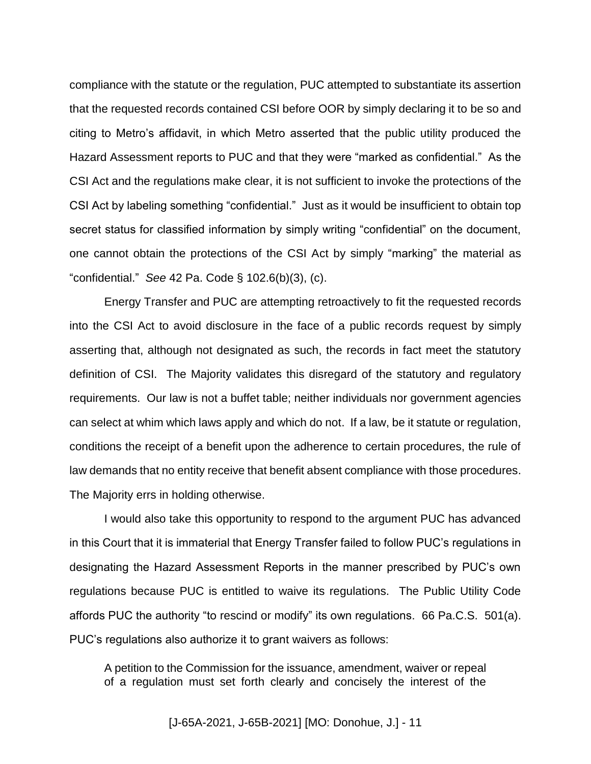compliance with the statute or the regulation, PUC attempted to substantiate its assertion that the requested records contained CSI before OOR by simply declaring it to be so and citing to Metro's affidavit, in which Metro asserted that the public utility produced the Hazard Assessment reports to PUC and that they were "marked as confidential." As the CSI Act and the regulations make clear, it is not sufficient to invoke the protections of the CSI Act by labeling something "confidential." Just as it would be insufficient to obtain top secret status for classified information by simply writing "confidential" on the document, one cannot obtain the protections of the CSI Act by simply "marking" the material as "confidential." *See* 42 Pa. Code § 102.6(b)(3), (c).

Energy Transfer and PUC are attempting retroactively to fit the requested records into the CSI Act to avoid disclosure in the face of a public records request by simply asserting that, although not designated as such, the records in fact meet the statutory definition of CSI. The Majority validates this disregard of the statutory and regulatory requirements. Our law is not a buffet table; neither individuals nor government agencies can select at whim which laws apply and which do not. If a law, be it statute or regulation, conditions the receipt of a benefit upon the adherence to certain procedures, the rule of law demands that no entity receive that benefit absent compliance with those procedures. The Majority errs in holding otherwise.

I would also take this opportunity to respond to the argument PUC has advanced in this Court that it is immaterial that Energy Transfer failed to follow PUC's regulations in designating the Hazard Assessment Reports in the manner prescribed by PUC's own regulations because PUC is entitled to waive its regulations. The Public Utility Code affords PUC the authority "to rescind or modify" its own regulations. 66 Pa.C.S. 501(a). PUC's regulations also authorize it to grant waivers as follows:

A petition to the Commission for the issuance, amendment, waiver or repeal of a regulation must set forth clearly and concisely the interest of the

[J-65A-2021, J-65B-2021] [MO: Donohue, J.] - 11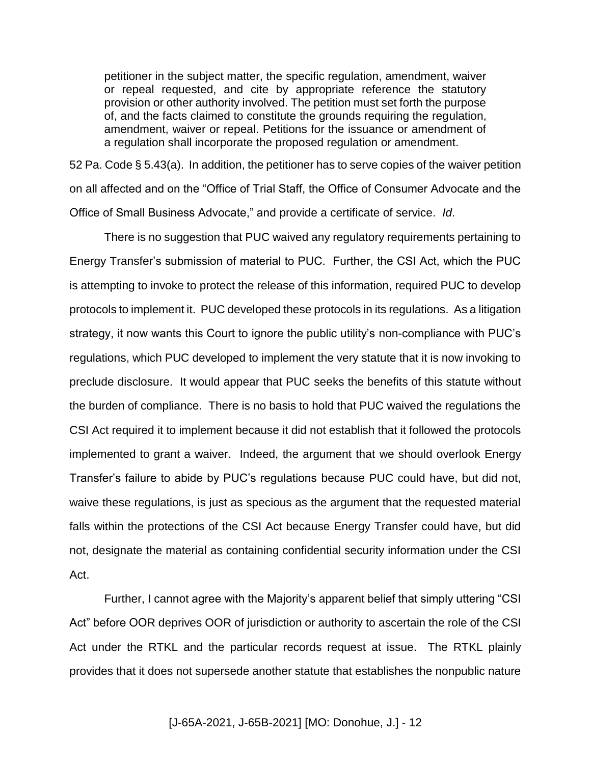petitioner in the subject matter, the specific regulation, amendment, waiver or repeal requested, and cite by appropriate reference the statutory provision or other authority involved. The petition must set forth the purpose of, and the facts claimed to constitute the grounds requiring the regulation, amendment, waiver or repeal. Petitions for the issuance or amendment of a regulation shall incorporate the proposed regulation or amendment.

52 Pa. Code § 5.43(a). In addition, the petitioner has to serve copies of the waiver petition on all affected and on the "Office of Trial Staff, the Office of Consumer Advocate and the Office of Small Business Advocate," and provide a certificate of service. *Id*.

There is no suggestion that PUC waived any regulatory requirements pertaining to Energy Transfer's submission of material to PUC. Further, the CSI Act, which the PUC is attempting to invoke to protect the release of this information, required PUC to develop protocols to implement it. PUC developed these protocols in its regulations. As a litigation strategy, it now wants this Court to ignore the public utility's non-compliance with PUC's regulations, which PUC developed to implement the very statute that it is now invoking to preclude disclosure. It would appear that PUC seeks the benefits of this statute without the burden of compliance. There is no basis to hold that PUC waived the regulations the CSI Act required it to implement because it did not establish that it followed the protocols implemented to grant a waiver. Indeed, the argument that we should overlook Energy Transfer's failure to abide by PUC's regulations because PUC could have, but did not, waive these regulations, is just as specious as the argument that the requested material falls within the protections of the CSI Act because Energy Transfer could have, but did not, designate the material as containing confidential security information under the CSI Act.

Further, I cannot agree with the Majority's apparent belief that simply uttering "CSI Act" before OOR deprives OOR of jurisdiction or authority to ascertain the role of the CSI Act under the RTKL and the particular records request at issue. The RTKL plainly provides that it does not supersede another statute that establishes the nonpublic nature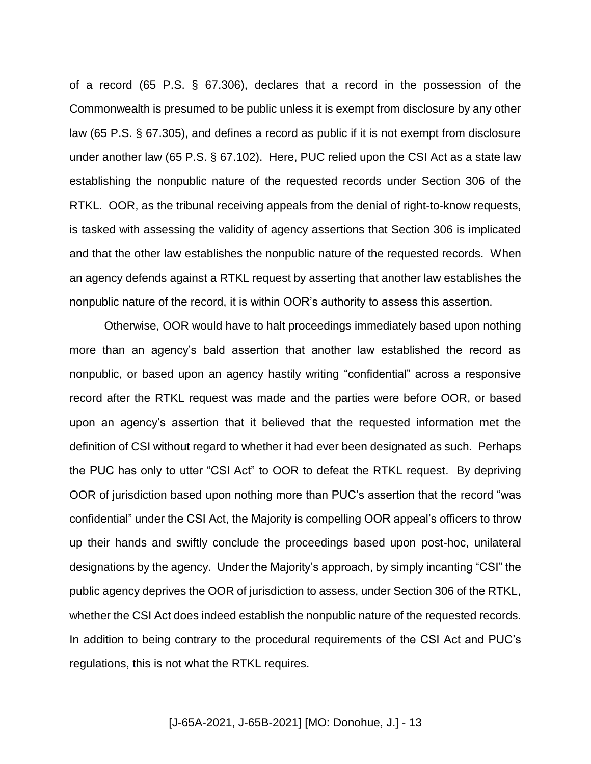of a record (65 P.S. § 67.306), declares that a record in the possession of the Commonwealth is presumed to be public unless it is exempt from disclosure by any other law (65 P.S. § 67.305), and defines a record as public if it is not exempt from disclosure under another law (65 P.S. § 67.102). Here, PUC relied upon the CSI Act as a state law establishing the nonpublic nature of the requested records under Section 306 of the RTKL. OOR, as the tribunal receiving appeals from the denial of right-to-know requests, is tasked with assessing the validity of agency assertions that Section 306 is implicated and that the other law establishes the nonpublic nature of the requested records. When an agency defends against a RTKL request by asserting that another law establishes the nonpublic nature of the record, it is within OOR's authority to assess this assertion.

Otherwise, OOR would have to halt proceedings immediately based upon nothing more than an agency's bald assertion that another law established the record as nonpublic, or based upon an agency hastily writing "confidential" across a responsive record after the RTKL request was made and the parties were before OOR, or based upon an agency's assertion that it believed that the requested information met the definition of CSI without regard to whether it had ever been designated as such. Perhaps the PUC has only to utter "CSI Act" to OOR to defeat the RTKL request. By depriving OOR of jurisdiction based upon nothing more than PUC's assertion that the record "was confidential" under the CSI Act, the Majority is compelling OOR appeal's officers to throw up their hands and swiftly conclude the proceedings based upon post-hoc, unilateral designations by the agency. Under the Majority's approach, by simply incanting "CSI" the public agency deprives the OOR of jurisdiction to assess, under Section 306 of the RTKL, whether the CSI Act does indeed establish the nonpublic nature of the requested records. In addition to being contrary to the procedural requirements of the CSI Act and PUC's regulations, this is not what the RTKL requires.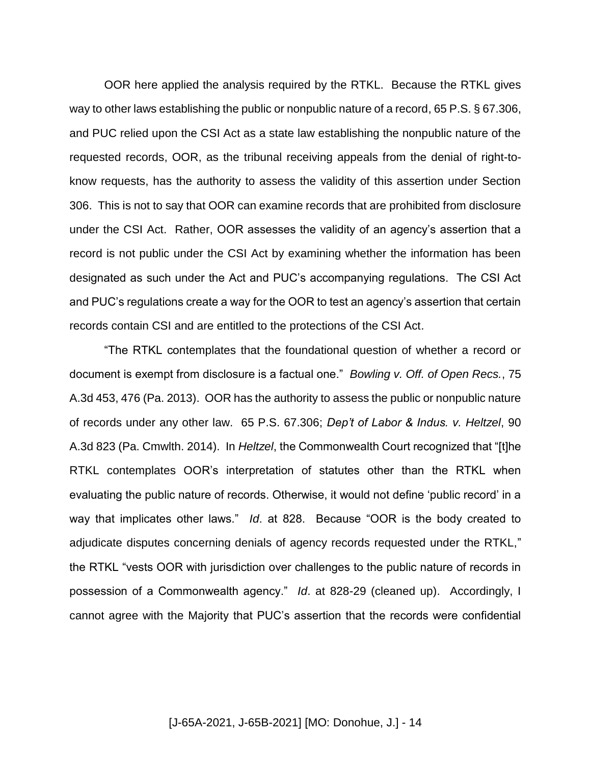OOR here applied the analysis required by the RTKL. Because the RTKL gives way to other laws establishing the public or nonpublic nature of a record, 65 P.S. § 67.306, and PUC relied upon the CSI Act as a state law establishing the nonpublic nature of the requested records, OOR, as the tribunal receiving appeals from the denial of right-toknow requests, has the authority to assess the validity of this assertion under Section 306. This is not to say that OOR can examine records that are prohibited from disclosure under the CSI Act. Rather, OOR assesses the validity of an agency's assertion that a record is not public under the CSI Act by examining whether the information has been designated as such under the Act and PUC's accompanying regulations. The CSI Act and PUC's regulations create a way for the OOR to test an agency's assertion that certain records contain CSI and are entitled to the protections of the CSI Act.

"The RTKL contemplates that the foundational question of whether a record or document is exempt from disclosure is a factual one." *Bowling v. Off. of Open Recs.*, 75 A.3d 453, 476 (Pa. 2013). OOR has the authority to assess the public or nonpublic nature of records under any other law. 65 P.S. 67.306; *Dep't of Labor & Indus. v. Heltzel*, 90 A.3d 823 (Pa. Cmwlth. 2014). In *Heltzel*, the Commonwealth Court recognized that "[t]he RTKL contemplates OOR's interpretation of statutes other than the RTKL when evaluating the public nature of records. Otherwise, it would not define 'public record' in a way that implicates other laws." *Id*. at 828. Because "OOR is the body created to adjudicate disputes concerning denials of agency records requested under the RTKL," the RTKL "vests OOR with jurisdiction over challenges to the public nature of records in possession of a Commonwealth agency." *Id*. at 828-29 (cleaned up). Accordingly, I cannot agree with the Majority that PUC's assertion that the records were confidential